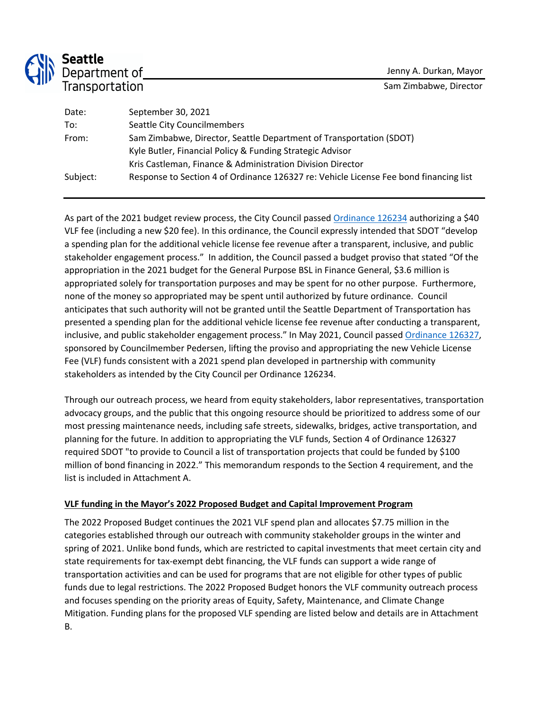

# **Seattle**<br>Department of<br>Transportation

| Date:    | September 30, 2021                                                                    |
|----------|---------------------------------------------------------------------------------------|
| To:      | Seattle City Councilmembers                                                           |
| From:    | Sam Zimbabwe, Director, Seattle Department of Transportation (SDOT)                   |
|          | Kyle Butler, Financial Policy & Funding Strategic Advisor                             |
|          | Kris Castleman, Finance & Administration Division Director                            |
| Subject: | Response to Section 4 of Ordinance 126327 re: Vehicle License Fee bond financing list |
|          |                                                                                       |

As part of the 2021 budget review process, the City Council passed Ordinance 126234 authorizing a \$40 VLF fee (including a new \$20 fee). In this ordinance, the Council expressly intended that SDOT "develop a spending plan for the additional vehicle license fee revenue after a transparent, inclusive, and public stakeholder engagement process." In addition, the Council passed a budget proviso that stated "Of the appropriation in the 2021 budget for the General Purpose BSL in Finance General, \$3.6 million is appropriated solely for transportation purposes and may be spent for no other purpose. Furthermore, none of the money so appropriated may be spent until authorized by future ordinance. Council anticipates that such authority will not be granted until the Seattle Department of Transportation has presented a spending plan for the additional vehicle license fee revenue after conducting a transparent, inclusive, and public stakeholder engagement process." In May 2021, Council passed Ordinance 126327, sponsored by Councilmember Pedersen, lifting the proviso and appropriating the new Vehicle License Fee (VLF) funds consistent with a 2021 spend plan developed in partnership with community stakeholders as intended by the City Council per Ordinance 126234.

Through our outreach process, we heard from equity stakeholders, labor representatives, transportation advocacy groups, and the public that this ongoing resource should be prioritized to address some of our most pressing maintenance needs, including safe streets, sidewalks, bridges, active transportation, and planning for the future. In addition to appropriating the VLF funds, Section 4 of Ordinance 126327 required SDOT "to provide to Council a list of transportation projects that could be funded by \$100 million of bond financing in 2022." This memorandum responds to the Section 4 requirement, and the list is included in Attachment A.

# **VLF funding in the Mayor's 2022 Proposed Budget and Capital Improvement Program**

The 2022 Proposed Budget continues the 2021 VLF spend plan and allocates \$7.75 million in the categories established through our outreach with community stakeholder groups in the winter and spring of 2021. Unlike bond funds, which are restricted to capital investments that meet certain city and state requirements for tax-exempt debt financing, the VLF funds can support a wide range of transportation activities and can be used for programs that are not eligible for other types of public funds due to legal restrictions. The 2022 Proposed Budget honors the VLF community outreach process and focuses spending on the priority areas of Equity, Safety, Maintenance, and Climate Change Mitigation. Funding plans for the proposed VLF spending are listed below and details are in Attachment B.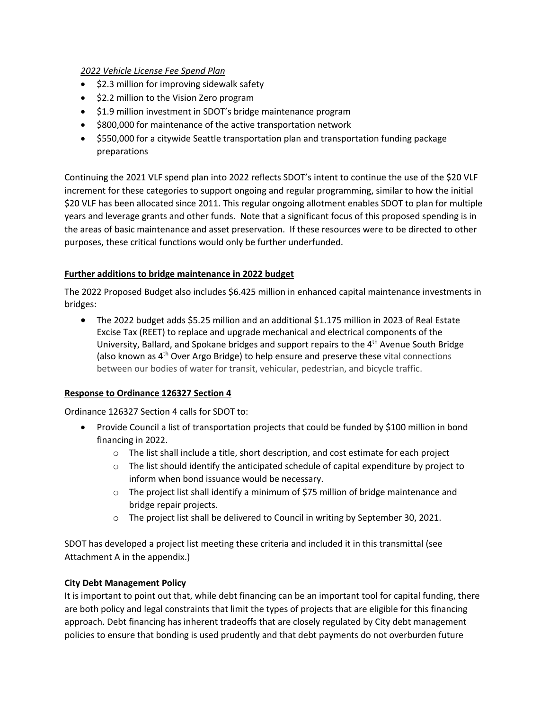## *2022 Vehicle License Fee Spend Plan*

- \$2.3 million for improving sidewalk safety
- \$2.2 million to the Vision Zero program
- \$1.9 million investment in SDOT's bridge maintenance program
- \$800,000 for maintenance of the active transportation network
- \$550,000 for a citywide Seattle transportation plan and transportation funding package preparations

Continuing the 2021 VLF spend plan into 2022 reflects SDOT's intent to continue the use of the \$20 VLF increment for these categories to support ongoing and regular programming, similar to how the initial \$20 VLF has been allocated since 2011. This regular ongoing allotment enables SDOT to plan for multiple years and leverage grants and other funds. Note that a significant focus of this proposed spending is in the areas of basic maintenance and asset preservation. If these resources were to be directed to other purposes, these critical functions would only be further underfunded.

## **Further additions to bridge maintenance in 2022 budget**

The 2022 Proposed Budget also includes \$6.425 million in enhanced capital maintenance investments in bridges:

• The 2022 budget adds \$5.25 million and an additional \$1.175 million in 2023 of Real Estate Excise Tax (REET) to replace and upgrade mechanical and electrical components of the University, Ballard, and Spokane bridges and support repairs to the 4<sup>th</sup> Avenue South Bridge (also known as  $4<sup>th</sup>$  Over Argo Bridge) to help ensure and preserve these vital connections between our bodies of water for transit, vehicular, pedestrian, and bicycle traffic.

#### **Response to Ordinance 126327 Section 4**

Ordinance 126327 Section 4 calls for SDOT to:

- Provide Council a list of transportation projects that could be funded by \$100 million in bond financing in 2022.
	- $\circ$  The list shall include a title, short description, and cost estimate for each project
	- $\circ$  The list should identify the anticipated schedule of capital expenditure by project to inform when bond issuance would be necessary.
	- o The project list shall identify a minimum of \$75 million of bridge maintenance and bridge repair projects.
	- o The project list shall be delivered to Council in writing by September 30, 2021.

SDOT has developed a project list meeting these criteria and included it in this transmittal (see Attachment A in the appendix.)

#### **City Debt Management Policy**

It is important to point out that, while debt financing can be an important tool for capital funding, there are both policy and legal constraints that limit the types of projects that are eligible for this financing approach. Debt financing has inherent tradeoffs that are closely regulated by City debt management policies to ensure that bonding is used prudently and that debt payments do not overburden future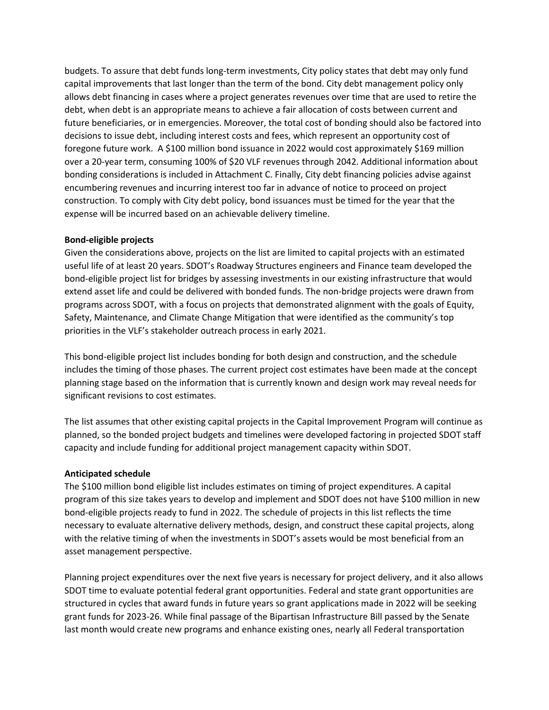budgets. To assure that debt funds long-term investments, City policy states that debt may only fund capital improvements that last longer than the term of the bond. City debt management policy only allows debt financing in cases where a project generates revenues over time that are used to retire the debt, when debt is an appropriate means to achieve a fair allocation of costs between current and future beneficiaries, or in emergencies. Moreover, the total cost of bonding should also be factored into decisions to issue debt, including interest costs and fees, which represent an opportunity cost of foregone future work. A \$100 million bond issuance in 2022 would cost approximately \$169 million over a 20-year term, consuming 100% of \$20 VLF revenues through 2042. Additional information about bonding considerations is included in Attachment C. Finally, City debt financing policies advise against encumbering revenues and incurring interest too far in advance of notice to proceed on project construction. To comply with City debt policy, bond issuances must be timed for the year that the expense will be incurred based on an achievable delivery timeline.

#### **Bond-eligible projects**

Given the considerations above, projects on the list are limited to capital projects with an estimated useful life of at least 20 years. SDOT's Roadway Structures engineers and Finance team developed the bond-eligible project list for bridges by assessing investments in our existing infrastructure that would extend asset life and could be delivered with bonded funds. The non-bridge projects were drawn from programs across SDOT, with a focus on projects that demonstrated alignment with the goals of Equity, Safety, Maintenance, and Climate Change Mitigation that were identified as the community's top priorities in the VLF's stakeholder outreach process in early 2021.

This bond-eligible project list includes bonding for both design and construction, and the schedule includes the timing of those phases. The current project cost estimates have been made at the concept planning stage based on the information that is currently known and design work may reveal needs for significant revisions to cost estimates.

The list assumes that other existing capital projects in the Capital Improvement Program will continue as planned, so the bonded project budgets and timelines were developed factoring in projected SDOT staff capacity and include funding for additional project management capacity within SDOT.

# **Anticipated schedule**

The \$100 million bond eligible list includes estimates on timing of project expenditures. A capital program of this size takes years to develop and implement and SDOT does not have \$100 million in new bond-eligible projects ready to fund in 2022. The schedule of projects in this list reflects the time necessary to evaluate alternative delivery methods, design, and construct these capital projects, along with the relative timing of when the investments in SDOT's assets would be most beneficial from an asset management perspective.

Planning project expenditures over the next five years is necessary for project delivery, and it also allows SDOT time to evaluate potential federal grant opportunities. Federal and state grant opportunities are structured in cycles that award funds in future years so grant applications made in 2022 will be seeking grant funds for 2023-26. While final passage of the Bipartisan Infrastructure Bill passed by the Senate last month would create new programs and enhance existing ones, nearly all Federal transportation